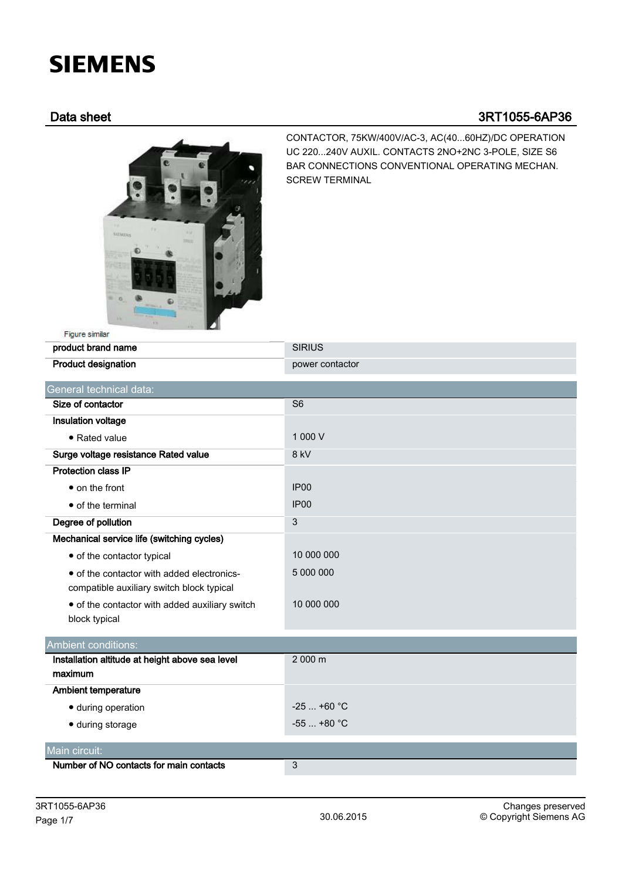# **SIEMENS**

## Data sheet 3RT1055-6AP36



CONTACTOR, 75KW/400V/AC-3, AC(40...60HZ)/DC OPERATION UC 220...240V AUXIL. CONTACTS 2NO+2NC 3-POLE, SIZE S6 BAR CONNECTIONS CONVENTIONAL OPERATING MECHAN. SCREW TERMINAL

| product brand name                              | <b>SIRIUS</b>    |
|-------------------------------------------------|------------------|
| <b>Product designation</b>                      | power contactor  |
| General technical data:                         |                  |
| Size of contactor                               | S <sub>6</sub>   |
| Insulation voltage                              |                  |
| • Rated value                                   | 1 000 V          |
| Surge voltage resistance Rated value            | 8 kV             |
| <b>Protection class IP</b>                      |                  |
| $\bullet$ on the front                          | IP <sub>00</sub> |
| • of the terminal                               | IP <sub>00</sub> |
| Degree of pollution                             | 3                |
| Mechanical service life (switching cycles)      |                  |
| • of the contactor typical                      | 10 000 000       |
| • of the contactor with added electronics-      | 5 000 000        |
| compatible auxiliary switch block typical       |                  |
| • of the contactor with added auxiliary switch  | 10 000 000       |
| block typical                                   |                  |
| <b>Ambient conditions:</b>                      |                  |
| Installation altitude at height above sea level | 2 000 m          |
| maximum                                         |                  |
| <b>Ambient temperature</b>                      |                  |
| · during operation                              | $-25$ +60 °C     |
| · during storage                                | $-55$ +80 °C     |
| Main circuit:                                   |                  |
| Number of NO contacts for main contacts         | 3                |
|                                                 |                  |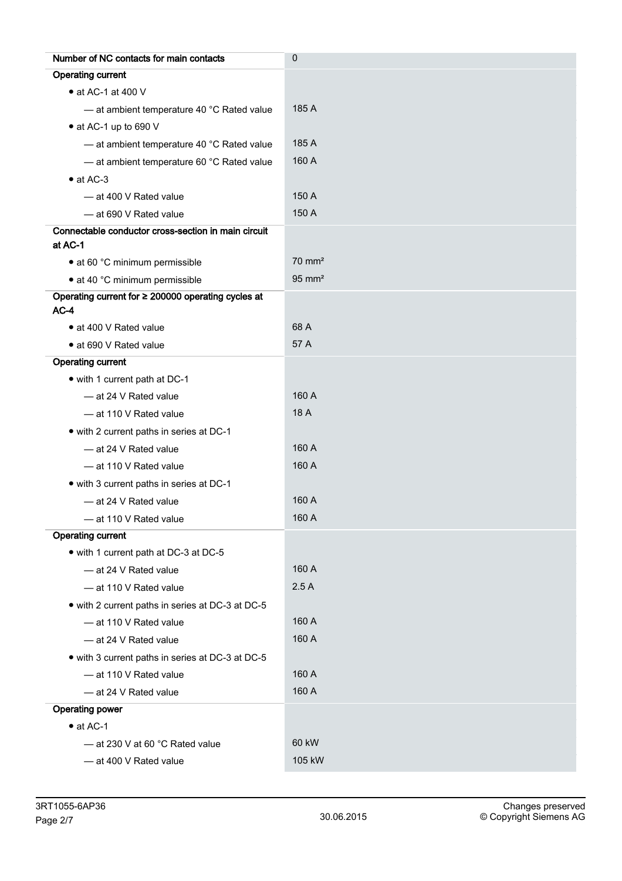| Number of NC contacts for main contacts                        | $\mathbf 0$       |
|----------------------------------------------------------------|-------------------|
| <b>Operating current</b>                                       |                   |
| • at AC-1 at 400 V                                             |                   |
| - at ambient temperature 40 °C Rated value                     | 185 A             |
| • at AC-1 up to 690 V                                          |                   |
| - at ambient temperature 40 °C Rated value                     | 185 A             |
| - at ambient temperature 60 °C Rated value                     | 160 A             |
| $\bullet$ at AC-3                                              |                   |
| - at 400 V Rated value                                         | 150 A             |
| - at 690 V Rated value                                         | 150 A             |
| Connectable conductor cross-section in main circuit<br>at AC-1 |                   |
| • at 60 °C minimum permissible                                 | $70 \text{ mm}^2$ |
| • at 40 °C minimum permissible                                 | $95 \text{ mm}^2$ |
| Operating current for $\geq$ 200000 operating cycles at        |                   |
| $AC-4$                                                         |                   |
| • at 400 V Rated value                                         | 68 A              |
| • at 690 V Rated value                                         | 57 A              |
| <b>Operating current</b>                                       |                   |
| • with 1 current path at DC-1                                  |                   |
| - at 24 V Rated value                                          | 160 A             |
| - at 110 V Rated value                                         | 18 A              |
| • with 2 current paths in series at DC-1                       |                   |
| - at 24 V Rated value                                          | 160 A             |
| - at 110 V Rated value                                         | 160 A             |
| • with 3 current paths in series at DC-1                       |                   |
| - at 24 V Rated value                                          | 160 A             |
| - at 110 V Rated value                                         | 160 A             |
| <b>Operating current</b>                                       |                   |
| • with 1 current path at DC-3 at DC-5                          |                   |
| - at 24 V Rated value                                          | 160 A             |
| - at 110 V Rated value                                         | 2.5A              |
| • with 2 current paths in series at DC-3 at DC-5               |                   |
| - at 110 V Rated value                                         | 160 A             |
| - at 24 V Rated value                                          | 160 A             |
| • with 3 current paths in series at DC-3 at DC-5               |                   |
| - at 110 V Rated value                                         | 160 A             |
| - at 24 V Rated value                                          | 160 A             |
| Operating power                                                |                   |
| $\bullet$ at AC-1                                              |                   |
| - at 230 V at 60 °C Rated value                                | 60 kW             |
| - at 400 V Rated value                                         | 105 kW            |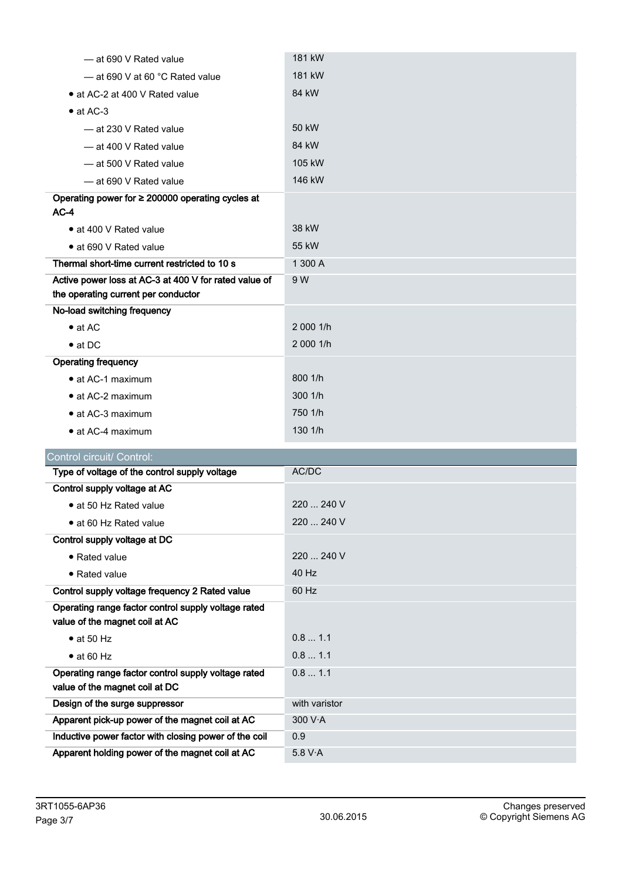| — at 690 V Rated value                                                                       | 181 kW        |
|----------------------------------------------------------------------------------------------|---------------|
| $-$ at 690 V at 60 °C Rated value                                                            | 181 kW        |
| • at AC-2 at 400 V Rated value                                                               | 84 kW         |
| $\bullet$ at AC-3                                                                            |               |
| — at 230 V Rated value                                                                       | 50 kW         |
| - at 400 V Rated value                                                                       | 84 kW         |
| - at 500 V Rated value                                                                       | 105 kW        |
| $-$ at 690 V Rated value                                                                     | 146 kW        |
| Operating power for ≥ 200000 operating cycles at                                             |               |
| $AC-4$                                                                                       |               |
| • at 400 V Rated value                                                                       | 38 kW         |
| • at 690 V Rated value                                                                       | 55 kW         |
| Thermal short-time current restricted to 10 s                                                | 1 300 A       |
| Active power loss at AC-3 at 400 V for rated value of<br>the operating current per conductor | 9 W           |
| No-load switching frequency                                                                  |               |
| $\bullet$ at AC                                                                              | 2 000 1/h     |
| $\bullet$ at DC                                                                              | 2 000 1/h     |
| <b>Operating frequency</b>                                                                   |               |
| • at AC-1 maximum                                                                            | 800 1/h       |
| • at AC-2 maximum                                                                            | 300 1/h       |
| • at AC-3 maximum                                                                            | 750 1/h       |
| • at AC-4 maximum                                                                            | 130 1/h       |
| Control circuit/ Control:                                                                    |               |
| Type of voltage of the control supply voltage                                                | AC/DC         |
| Control supply voltage at AC                                                                 |               |
| • at 50 Hz Rated value                                                                       | 220  240 V    |
| · at 60 Hz Rated value                                                                       | 220  240 V    |
| Control supply voltage at DC                                                                 |               |
| • Rated value                                                                                | 220  240 V    |
| · Rated value                                                                                | 40 Hz         |
| Control supply voltage frequency 2 Rated value                                               | 60 Hz         |
| Operating range factor control supply voltage rated<br>value of the magnet coil at AC        |               |
| $\bullet$ at 50 Hz                                                                           | 0.8 1.1       |
| $\bullet$ at 60 Hz                                                                           | 0.8 1.1       |
| Operating range factor control supply voltage rated<br>value of the magnet coil at DC        | 0.8 1.1       |
| Design of the surge suppressor                                                               | with varistor |
| Apparent pick-up power of the magnet coil at AC                                              | 300 V·A       |
| Inductive power factor with closing power of the coil                                        | 0.9           |
| Apparent holding power of the magnet coil at AC                                              | 5.8 V·A       |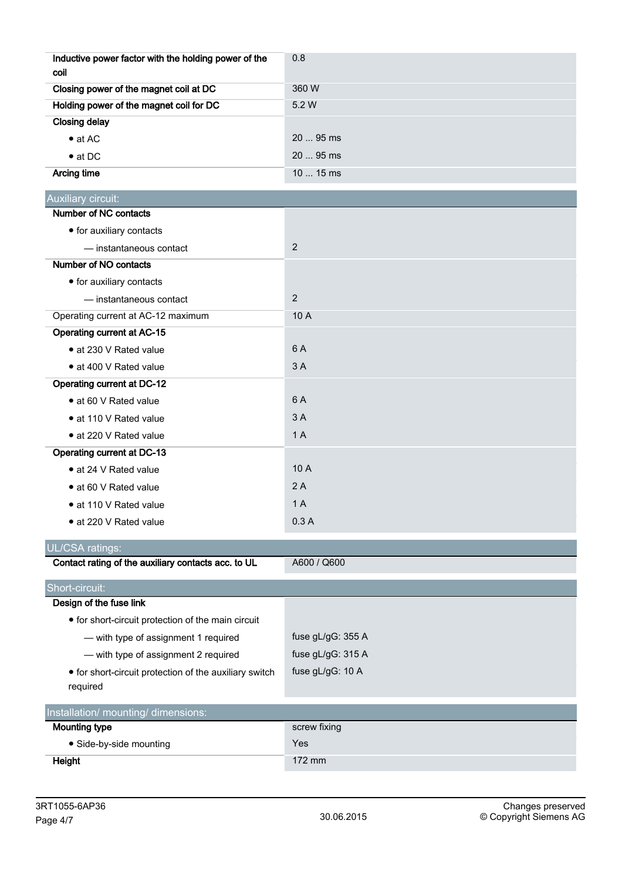| Inductive power factor with the holding power of the<br>coil       | 0.8               |
|--------------------------------------------------------------------|-------------------|
| Closing power of the magnet coil at DC                             | 360 W             |
| Holding power of the magnet coil for DC                            | 5.2 W             |
| <b>Closing delay</b>                                               |                   |
| $\bullet$ at AC                                                    | 20  95 ms         |
| $\bullet$ at DC                                                    | 20  95 ms         |
| <b>Arcing time</b>                                                 | 10  15 ms         |
| Auxiliary circuit:                                                 |                   |
| Number of NC contacts                                              |                   |
| • for auxiliary contacts                                           |                   |
| - instantaneous contact                                            | $\overline{2}$    |
| Number of NO contacts                                              |                   |
| • for auxiliary contacts                                           |                   |
| - instantaneous contact                                            | $\overline{2}$    |
| Operating current at AC-12 maximum                                 | 10 A              |
| Operating current at AC-15                                         |                   |
| • at 230 V Rated value                                             | 6 A               |
| • at 400 V Rated value                                             | 3 A               |
| <b>Operating current at DC-12</b>                                  |                   |
| • at 60 V Rated value                                              | 6 A               |
| • at 110 V Rated value                                             | 3A                |
| • at 220 V Rated value                                             | 1A                |
| Operating current at DC-13                                         |                   |
| · at 24 V Rated value                                              | 10 A              |
| • at 60 V Rated value                                              | 2A                |
| • at 110 V Rated value                                             | 1A                |
| · at 220 V Rated value                                             | 0.3A              |
| <b>UL/CSA ratings:</b>                                             |                   |
| Contact rating of the auxiliary contacts acc. to UL                | A600 / Q600       |
| Short-circuit:                                                     |                   |
| Design of the fuse link                                            |                   |
| • for short-circuit protection of the main circuit                 |                   |
| - with type of assignment 1 required                               | fuse gL/gG: 355 A |
| - with type of assignment 2 required                               | fuse gL/gG: 315 A |
| • for short-circuit protection of the auxiliary switch<br>required | fuse gL/gG: 10 A  |
| Installation/ mounting/ dimensions:                                |                   |
| <b>Mounting type</b>                                               | screw fixing      |
| · Side-by-side mounting                                            | Yes               |
| Height                                                             | 172 mm            |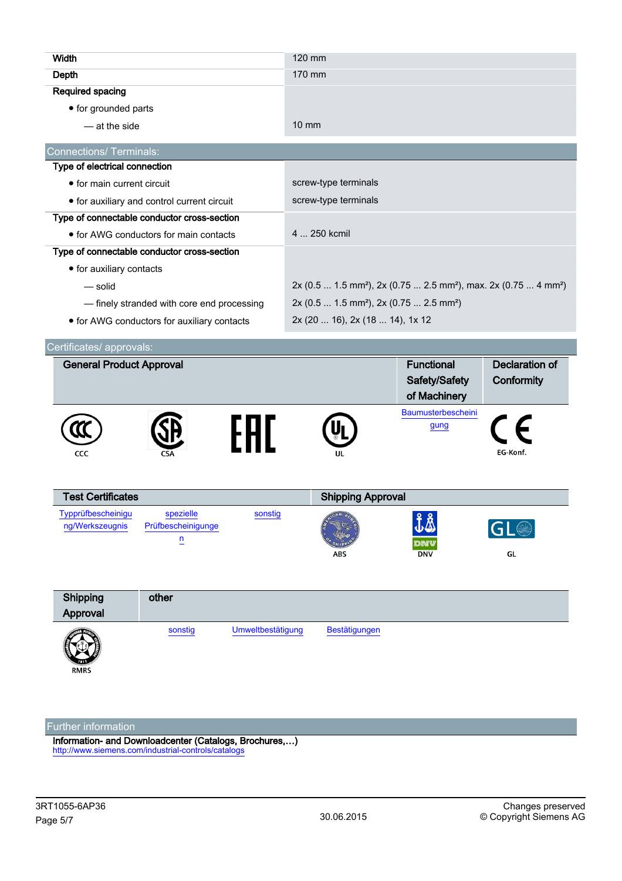| Width                                       |                                             |                      | 120 mm                                                                                              |                    |                       |
|---------------------------------------------|---------------------------------------------|----------------------|-----------------------------------------------------------------------------------------------------|--------------------|-----------------------|
| Depth                                       |                                             |                      | 170 mm                                                                                              |                    |                       |
| Required spacing                            |                                             |                      |                                                                                                     |                    |                       |
| • for grounded parts                        |                                             |                      |                                                                                                     |                    |                       |
| - at the side                               |                                             |                      | $10 \text{ mm}$                                                                                     |                    |                       |
| <b>Connections/ Terminals:</b>              |                                             |                      |                                                                                                     |                    |                       |
| Type of electrical connection               |                                             |                      |                                                                                                     |                    |                       |
| • for main current circuit                  |                                             | screw-type terminals |                                                                                                     |                    |                       |
| • for auxiliary and control current circuit |                                             | screw-type terminals |                                                                                                     |                    |                       |
| Type of connectable conductor cross-section |                                             |                      |                                                                                                     |                    |                       |
|                                             | • for AWG conductors for main contacts      |                      | 4  250 kcmil                                                                                        |                    |                       |
| Type of connectable conductor cross-section |                                             |                      |                                                                                                     |                    |                       |
| • for auxiliary contacts                    |                                             |                      |                                                                                                     |                    |                       |
| — solid                                     |                                             |                      | 2x (0.5  1.5 mm <sup>2</sup> ), 2x (0.75  2.5 mm <sup>2</sup> ), max. 2x (0.75  4 mm <sup>2</sup> ) |                    |                       |
|                                             | - finely stranded with core end processing  |                      | 2x (0.5  1.5 mm <sup>2</sup> ), 2x (0.75  2.5 mm <sup>2</sup> )                                     |                    |                       |
|                                             | • for AWG conductors for auxiliary contacts |                      | 2x (20  16), 2x (18  14), 1x 12                                                                     |                    |                       |
|                                             |                                             |                      |                                                                                                     |                    |                       |
| Certificates/ approvals:                    |                                             |                      |                                                                                                     |                    |                       |
| <b>General Product Approval</b>             |                                             |                      |                                                                                                     | <b>Functional</b>  | <b>Declaration of</b> |
|                                             |                                             |                      |                                                                                                     |                    |                       |
|                                             |                                             |                      |                                                                                                     | Safety/Safety      | Conformity            |
|                                             |                                             |                      |                                                                                                     | of Machinery       |                       |
|                                             |                                             |                      |                                                                                                     | Baumusterbescheini |                       |
|                                             |                                             | FHI.                 |                                                                                                     | gung               |                       |
| CCC                                         |                                             |                      |                                                                                                     |                    | EG-Konf.              |
|                                             |                                             |                      |                                                                                                     |                    |                       |
| <b>Test Certificates</b>                    |                                             |                      | <b>Shipping Approval</b>                                                                            |                    |                       |
| Typprüfbescheinigu                          | spezielle                                   | sonstig              |                                                                                                     | 99                 |                       |
| ng/Werkszeugnis                             | Prüfbescheinigunge                          |                      | ICAN BU                                                                                             | JA                 | GL <sup>O</sup>       |
|                                             | $\overline{\mathbf{n}}$                     |                      |                                                                                                     | <i>tw</i> ig       |                       |
|                                             |                                             |                      | ABS                                                                                                 | <b>DNV</b>         | GL                    |
|                                             |                                             |                      |                                                                                                     |                    |                       |
| Shipping                                    | other                                       |                      |                                                                                                     |                    |                       |
| Approval                                    |                                             |                      |                                                                                                     |                    |                       |
|                                             | sonstig                                     | Umweltbestätigung    | Bestätigungen                                                                                       |                    |                       |
|                                             |                                             |                      |                                                                                                     |                    |                       |
| RMRS                                        |                                             |                      |                                                                                                     |                    |                       |

### Further information

Information- and Downloadcenter (Catalogs, Brochures,…) <http://www.siemens.com/industrial-controls/catalogs>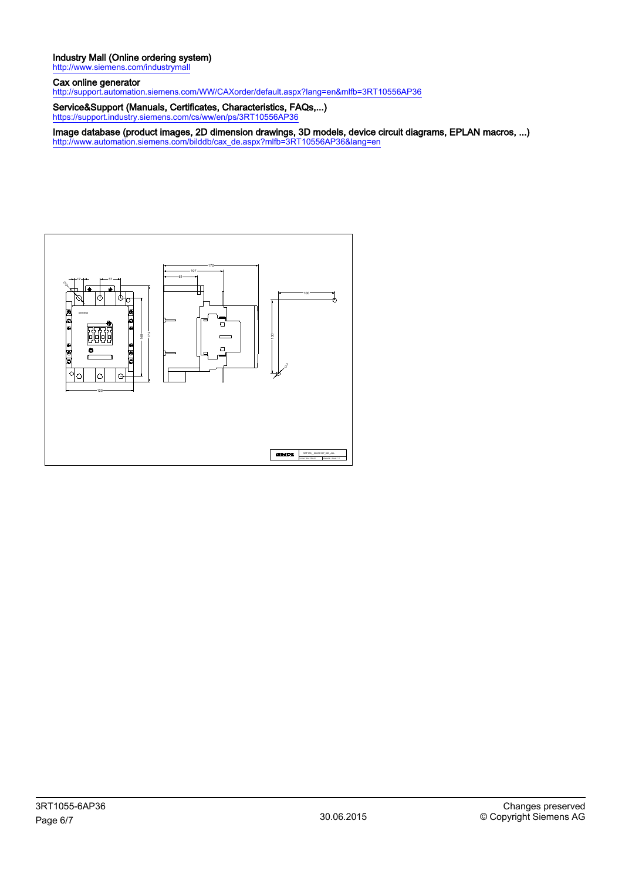#### Industry Mall (Online ordering system) <http://www.siemens.com/industrymall>

Cax online generator

<http://support.automation.siemens.com/WW/CAXorder/default.aspx?lang=en&mlfb=3RT10556AP36>

Service&Support (Manuals, Certificates, Characteristics, FAQs,...) <https://support.industry.siemens.com/cs/ww/en/ps/3RT10556AP36>

Image database (product images, 2D dimension drawings, 3D models, device circuit diagrams, EPLAN macros, ...) [http://www.automation.siemens.com/bilddb/cax\\_de.aspx?mlfb=3RT10556AP36&lang=en](http://www.automation.siemens.com/bilddb/cax_de.aspx?mlfb=3RT10556AP36&lang=en)